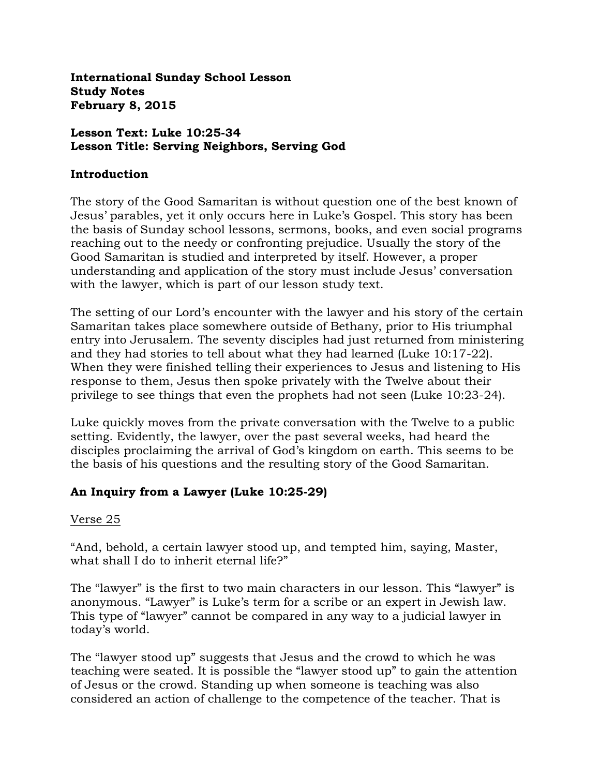**International Sunday School Lesson Study Notes February 8, 2015**

### **Lesson Text: Luke 10:25-34 Lesson Title: Serving Neighbors, Serving God**

#### **Introduction**

The story of the Good Samaritan is without question one of the best known of Jesus' parables, yet it only occurs here in Luke's Gospel. This story has been the basis of Sunday school lessons, sermons, books, and even social programs reaching out to the needy or confronting prejudice. Usually the story of the Good Samaritan is studied and interpreted by itself. However, a proper understanding and application of the story must include Jesus' conversation with the lawyer, which is part of our lesson study text.

The setting of our Lord's encounter with the lawyer and his story of the certain Samaritan takes place somewhere outside of Bethany, prior to His triumphal entry into Jerusalem. The seventy disciples had just returned from ministering and they had stories to tell about what they had learned (Luke 10:17-22). When they were finished telling their experiences to Jesus and listening to His response to them, Jesus then spoke privately with the Twelve about their privilege to see things that even the prophets had not seen (Luke 10:23-24).

Luke quickly moves from the private conversation with the Twelve to a public setting. Evidently, the lawyer, over the past several weeks, had heard the disciples proclaiming the arrival of God's kingdom on earth. This seems to be the basis of his questions and the resulting story of the Good Samaritan.

### **An Inquiry from a Lawyer (Luke 10:25-29)**

### Verse 25

"And, behold, a certain lawyer stood up, and tempted him, saying, Master, what shall I do to inherit eternal life?"

The "lawyer" is the first to two main characters in our lesson. This "lawyer" is anonymous. "Lawyer" is Luke's term for a scribe or an expert in Jewish law. This type of "lawyer" cannot be compared in any way to a judicial lawyer in today's world.

The "lawyer stood up" suggests that Jesus and the crowd to which he was teaching were seated. It is possible the "lawyer stood up" to gain the attention of Jesus or the crowd. Standing up when someone is teaching was also considered an action of challenge to the competence of the teacher. That is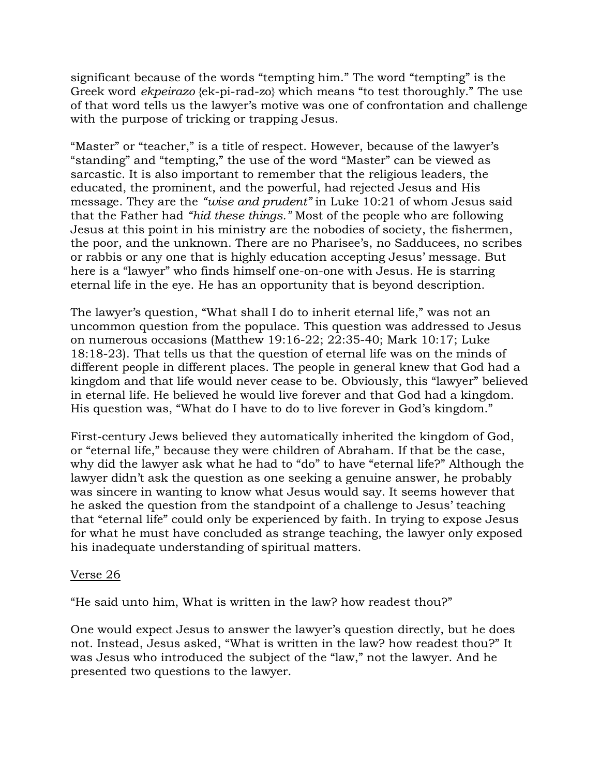significant because of the words "tempting him." The word "tempting" is the Greek word *ekpeirazo* {ek-pi-rad-zo} which means "to test thoroughly." The use of that word tells us the lawyer's motive was one of confrontation and challenge with the purpose of tricking or trapping Jesus.

"Master" or "teacher," is a title of respect. However, because of the lawyer's "standing" and "tempting," the use of the word "Master" can be viewed as sarcastic. It is also important to remember that the religious leaders, the educated, the prominent, and the powerful, had rejected Jesus and His message. They are the *"wise and prudent"* in Luke 10:21 of whom Jesus said that the Father had *"hid these things."* Most of the people who are following Jesus at this point in his ministry are the nobodies of society, the fishermen, the poor, and the unknown. There are no Pharisee's, no Sadducees, no scribes or rabbis or any one that is highly education accepting Jesus' message. But here is a "lawyer" who finds himself one-on-one with Jesus. He is starring eternal life in the eye. He has an opportunity that is beyond description.

The lawyer's question, "What shall I do to inherit eternal life," was not an uncommon question from the populace. This question was addressed to Jesus on numerous occasions (Matthew 19:16-22; 22:35-40; Mark 10:17; Luke 18:18-23). That tells us that the question of eternal life was on the minds of different people in different places. The people in general knew that God had a kingdom and that life would never cease to be. Obviously, this "lawyer" believed in eternal life. He believed he would live forever and that God had a kingdom. His question was, "What do I have to do to live forever in God's kingdom."

First-century Jews believed they automatically inherited the kingdom of God, or "eternal life," because they were children of Abraham. If that be the case, why did the lawyer ask what he had to "do" to have "eternal life?" Although the lawyer didn't ask the question as one seeking a genuine answer, he probably was sincere in wanting to know what Jesus would say. It seems however that he asked the question from the standpoint of a challenge to Jesus' teaching that "eternal life" could only be experienced by faith. In trying to expose Jesus for what he must have concluded as strange teaching, the lawyer only exposed his inadequate understanding of spiritual matters.

### Verse 26

"He said unto him, What is written in the law? how readest thou?"

One would expect Jesus to answer the lawyer's question directly, but he does not. Instead, Jesus asked, "What is written in the law? how readest thou?" It was Jesus who introduced the subject of the "law," not the lawyer. And he presented two questions to the lawyer.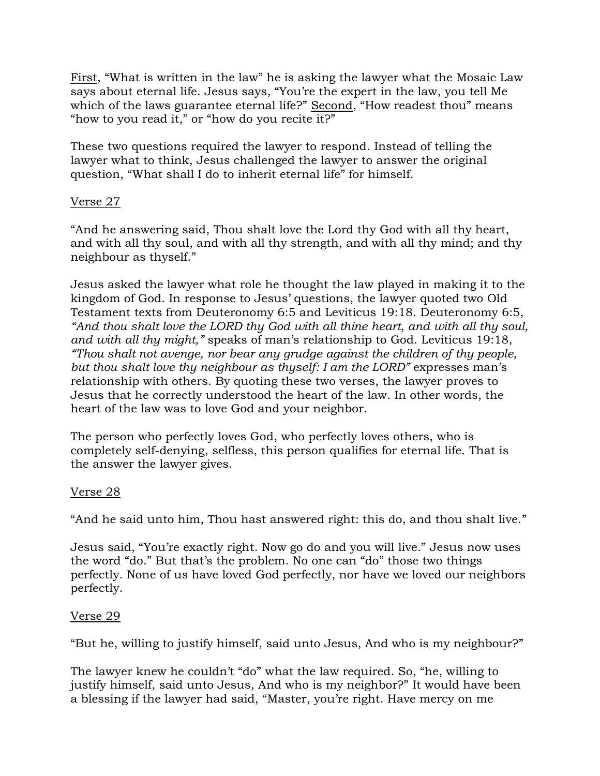First, "What is written in the law" he is asking the lawyer what the Mosaic Law says about eternal life. Jesus says, "You're the expert in the law, you tell Me which of the laws guarantee eternal life?" Second, "How readest thou" means "how to you read it," or "how do you recite it?"

These two questions required the lawyer to respond. Instead of telling the lawyer what to think, Jesus challenged the lawyer to answer the original question, "What shall I do to inherit eternal life" for himself.

## Verse 27

"And he answering said, Thou shalt love the Lord thy God with all thy heart, and with all thy soul, and with all thy strength, and with all thy mind; and thy neighbour as thyself."

Jesus asked the lawyer what role he thought the law played in making it to the kingdom of God. In response to Jesus' questions, the lawyer quoted two Old Testament texts from Deuteronomy 6:5 and Leviticus 19:18. Deuteronomy 6:5, *"And thou shalt love the LORD thy God with all thine heart, and with all thy soul, and with all thy might,"* speaks of man's relationship to God. Leviticus 19:18, *"Thou shalt not avenge, nor bear any grudge against the children of thy people, but thou shalt love thy neighbour as thyself: I am the LORD"* expresses man's relationship with others. By quoting these two verses, the lawyer proves to Jesus that he correctly understood the heart of the law. In other words, the heart of the law was to love God and your neighbor.

The person who perfectly loves God, who perfectly loves others, who is completely self-denying, selfless, this person qualifies for eternal life. That is the answer the lawyer gives.

### Verse 28

"And he said unto him, Thou hast answered right: this do, and thou shalt live."

Jesus said, "You're exactly right. Now go do and you will live." Jesus now uses the word "do." But that's the problem. No one can "do" those two things perfectly. None of us have loved God perfectly, nor have we loved our neighbors perfectly.

### Verse 29

"But he, willing to justify himself, said unto Jesus, And who is my neighbour?"

The lawyer knew he couldn't "do" what the law required. So, "he, willing to justify himself, said unto Jesus, And who is my neighbor?" It would have been a blessing if the lawyer had said, "Master, you're right. Have mercy on me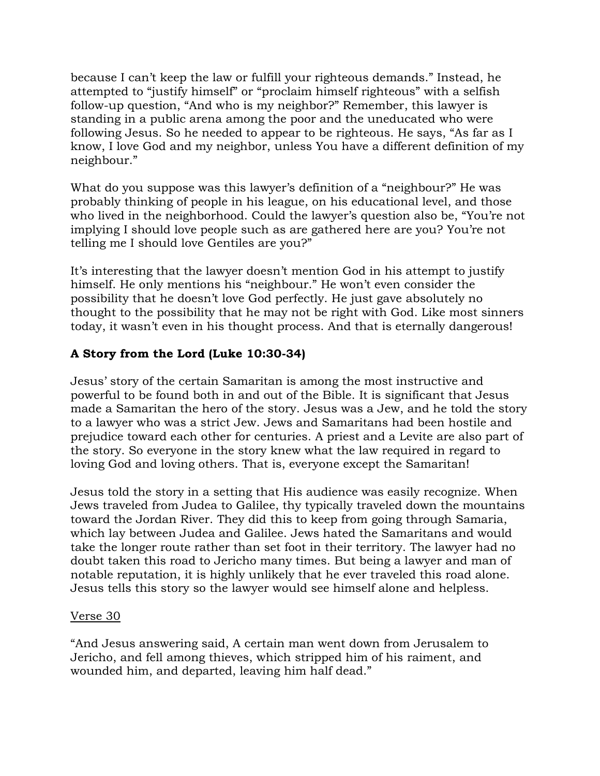because I can't keep the law or fulfill your righteous demands." Instead, he attempted to "justify himself" or "proclaim himself righteous" with a selfish follow-up question, "And who is my neighbor?" Remember, this lawyer is standing in a public arena among the poor and the uneducated who were following Jesus. So he needed to appear to be righteous. He says, "As far as I know, I love God and my neighbor, unless You have a different definition of my neighbour."

What do you suppose was this lawyer's definition of a "neighbour?" He was probably thinking of people in his league, on his educational level, and those who lived in the neighborhood. Could the lawyer's question also be, "You're not implying I should love people such as are gathered here are you? You're not telling me I should love Gentiles are you?"

It's interesting that the lawyer doesn't mention God in his attempt to justify himself. He only mentions his "neighbour." He won't even consider the possibility that he doesn't love God perfectly. He just gave absolutely no thought to the possibility that he may not be right with God. Like most sinners today, it wasn't even in his thought process. And that is eternally dangerous!

# **A Story from the Lord (Luke 10:30-34)**

Jesus' story of the certain Samaritan is among the most instructive and powerful to be found both in and out of the Bible. It is significant that Jesus made a Samaritan the hero of the story. Jesus was a Jew, and he told the story to a lawyer who was a strict Jew. Jews and Samaritans had been hostile and prejudice toward each other for centuries. A priest and a Levite are also part of the story. So everyone in the story knew what the law required in regard to loving God and loving others. That is, everyone except the Samaritan!

Jesus told the story in a setting that His audience was easily recognize. When Jews traveled from Judea to Galilee, thy typically traveled down the mountains toward the Jordan River. They did this to keep from going through Samaria, which lay between Judea and Galilee. Jews hated the Samaritans and would take the longer route rather than set foot in their territory. The lawyer had no doubt taken this road to Jericho many times. But being a lawyer and man of notable reputation, it is highly unlikely that he ever traveled this road alone. Jesus tells this story so the lawyer would see himself alone and helpless.

### Verse 30

"And Jesus answering said, A certain man went down from Jerusalem to Jericho, and fell among thieves, which stripped him of his raiment, and wounded him, and departed, leaving him half dead."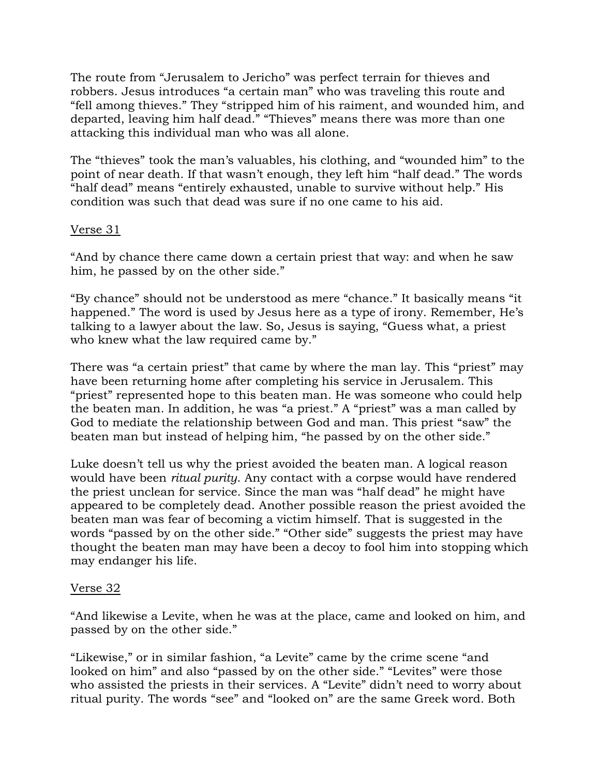The route from "Jerusalem to Jericho" was perfect terrain for thieves and robbers. Jesus introduces "a certain man" who was traveling this route and "fell among thieves." They "stripped him of his raiment, and wounded him, and departed, leaving him half dead." "Thieves" means there was more than one attacking this individual man who was all alone.

The "thieves" took the man's valuables, his clothing, and "wounded him" to the point of near death. If that wasn't enough, they left him "half dead." The words "half dead" means "entirely exhausted, unable to survive without help." His condition was such that dead was sure if no one came to his aid.

### Verse 31

"And by chance there came down a certain priest that way: and when he saw him, he passed by on the other side."

"By chance" should not be understood as mere "chance." It basically means "it happened." The word is used by Jesus here as a type of irony. Remember, He's talking to a lawyer about the law. So, Jesus is saying, "Guess what, a priest who knew what the law required came by."

There was "a certain priest" that came by where the man lay. This "priest" may have been returning home after completing his service in Jerusalem. This "priest" represented hope to this beaten man. He was someone who could help the beaten man. In addition, he was "a priest." A "priest" was a man called by God to mediate the relationship between God and man. This priest "saw" the beaten man but instead of helping him, "he passed by on the other side."

Luke doesn't tell us why the priest avoided the beaten man. A logical reason would have been *ritual purity*. Any contact with a corpse would have rendered the priest unclean for service. Since the man was "half dead" he might have appeared to be completely dead. Another possible reason the priest avoided the beaten man was fear of becoming a victim himself. That is suggested in the words "passed by on the other side." "Other side" suggests the priest may have thought the beaten man may have been a decoy to fool him into stopping which may endanger his life.

### Verse 32

"And likewise a Levite, when he was at the place, came and looked on him, and passed by on the other side."

"Likewise," or in similar fashion, "a Levite" came by the crime scene "and looked on him" and also "passed by on the other side." "Levites" were those who assisted the priests in their services. A "Levite" didn't need to worry about ritual purity. The words "see" and "looked on" are the same Greek word. Both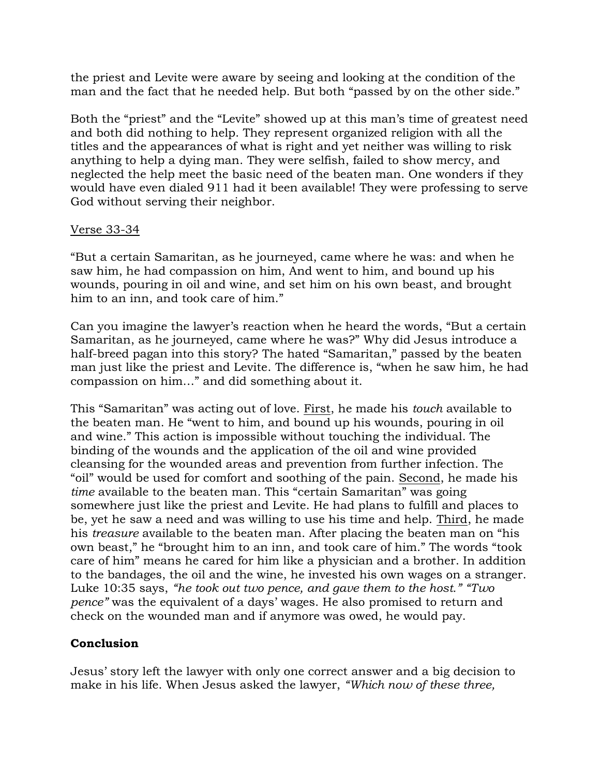the priest and Levite were aware by seeing and looking at the condition of the man and the fact that he needed help. But both "passed by on the other side."

Both the "priest" and the "Levite" showed up at this man's time of greatest need and both did nothing to help. They represent organized religion with all the titles and the appearances of what is right and yet neither was willing to risk anything to help a dying man. They were selfish, failed to show mercy, and neglected the help meet the basic need of the beaten man. One wonders if they would have even dialed 911 had it been available! They were professing to serve God without serving their neighbor.

### Verse 33-34

"But a certain Samaritan, as he journeyed, came where he was: and when he saw him, he had compassion on him, And went to him, and bound up his wounds, pouring in oil and wine, and set him on his own beast, and brought him to an inn, and took care of him."

Can you imagine the lawyer's reaction when he heard the words, "But a certain Samaritan, as he journeyed, came where he was?" Why did Jesus introduce a half-breed pagan into this story? The hated "Samaritan," passed by the beaten man just like the priest and Levite. The difference is, "when he saw him, he had compassion on him…" and did something about it.

This "Samaritan" was acting out of love. First, he made his *touch* available to the beaten man. He "went to him, and bound up his wounds, pouring in oil and wine." This action is impossible without touching the individual. The binding of the wounds and the application of the oil and wine provided cleansing for the wounded areas and prevention from further infection. The "oil" would be used for comfort and soothing of the pain. Second, he made his *time* available to the beaten man. This "certain Samaritan" was going somewhere just like the priest and Levite. He had plans to fulfill and places to be, yet he saw a need and was willing to use his time and help. Third, he made his *treasure* available to the beaten man. After placing the beaten man on "his own beast," he "brought him to an inn, and took care of him." The words "took care of him" means he cared for him like a physician and a brother. In addition to the bandages, the oil and the wine, he invested his own wages on a stranger. Luke 10:35 says, *"he took out two pence, and gave them to the host." "Two pence"* was the equivalent of a days' wages. He also promised to return and check on the wounded man and if anymore was owed, he would pay.

### **Conclusion**

Jesus' story left the lawyer with only one correct answer and a big decision to make in his life. When Jesus asked the lawyer, *"Which now of these three,*